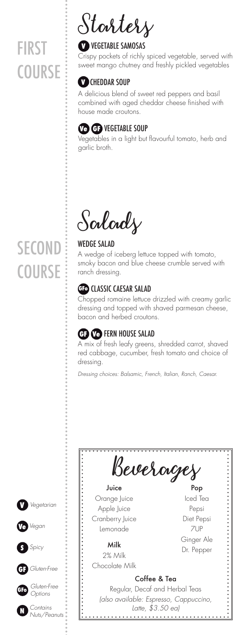# FIRST **COURSE**

# **Starters**

# **V** VEGETABLE SAMOSAS

Crispy pockets of richly spiced vegetable, served with sweet mango chutney and freshly pickled vegetables

# **V** CHEDDAR SOUP

A delicious blend of sweet red peppers and basil combined with aged cheddar cheese finished with house made croutons.

# **Ve GF** VEGETABLE SOUP

Vegetables in a light but flavourful tomato, herb and garlic broth.

**Salads**

### WEDGE SALAD

A wedge of iceberg lettuce topped with tomato, smoky bacon and blue cheese crumble served with ranch dressing.

# **GFo** CLASSIC CAESAR SALAD

Chopped romaine lettuce drizzled with creamy garlic dressing and topped with shaved parmesan cheese, bacon and herbed croutons.

# **GF Ve** FERN HOUSE SALAD

A mix of fresh leafy greens, shredded carrot, shaved red cabbage, cucumber, fresh tomato and choice of dressing.

*Dressing choices: Balsamic, French, Italian, Ranch, Caesar.*



# **SECOND COURSE**

**V**

**GF**

**S**

**GFo**

**N**

**Ve** *Vegan*

*Spicy*

*Gluten-Free*

*Gluten-Free Options*

*Contains*

*Vegetarian*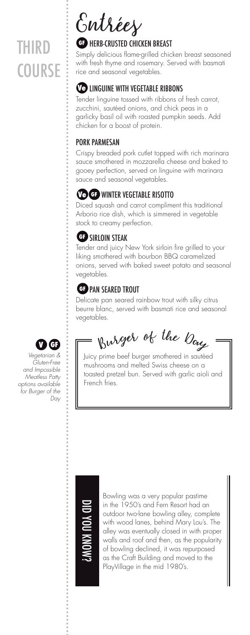# THIRD **COURSE**



### **GF** HERB-CRUSTED CHICKEN BREAST

Simply delicious flame-grilled chicken breast seasoned with fresh thyme and rosemary. Served with basmati rice and seasonal vegetables.

# **Ve LINGUINE WITH VEGETABLE RIBBONS**

Tender linguine tossed with ribbons of fresh carrot, zucchini, sautéed onions, and chick peas in a garlicky basil oil with roasted pumpkin seeds. Add chicken for a boost of protein.

#### PORK PARMESAN

Crispy breaded pork cutlet topped with rich marinara sauce smothered in mozzarella cheese and baked to gooey perfection, served on linguine with marinara sauce and seasonal vegetables.

# WINTER VEGETABLE RISOTTO **Ve GF**

Diced squash and carrot compliment this traditional Arborio rice dish, which is simmered in vegetable stock to creamy perfection.

#### **GF** SIRLOIN STEAK

Tender and juicy New York sirloin fire grilled to your liking smothered with bourbon BBQ caramelized onions, served with baked sweet potato and seasonal vegetables.

# **GF** PAN SEARED TROUT

Delicate pan seared rainbow trout with silky citrus beurre blanc, served with basmati rice and seasonal vegetables.

 $\mathbf{D} \mathbf{G}$  if  $\mathbf{B}$  by  $\mathbb{R}$  by  $\mathbb{R}$  by the  $\mathbb{R}$ 

Juicy prime beef burger smothered in sautéed mushrooms and melted Swiss cheese on a toasted pretzel bun. Served with garlic aioli and French fries.



*Vegetarian & Gluten-Free and Impossible Meatless Patty options available for Burger of the Day*



Bowling was a very popular pastime in the 1950's and Fern Resort had an outdoor two-lane bowling alley, complete with wood lanes, behind Mary Lou's. The alley was eventually closed in with proper walls and roof and then, as the popularity of bowling declined, it was repurposed as the Craft Building and moved to the PlayVillage in the mid 1980's.